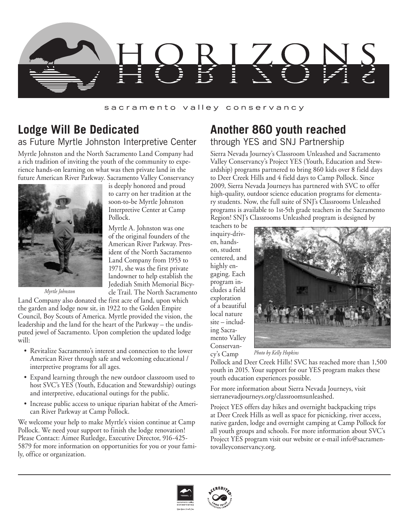

## sacramento valley conservancy

## **Lodge Will Be Dedicated** as Future Myrtle Johnston Interpretive Center

Myrtle Johnston and the North Sacramento Land Company had a rich tradition of inviting the youth of the community to experience hands-on learning on what was then private land in the future American River Parkway. Sacramento Valley Conservancy



is deeply honored and proud to carry on her tradition at the soon-to-be Myrtle Johnston Interpretive Center at Camp Pollock.

Myrtle A. Johnston was one of the original founders of the American River Parkway. President of the North Sacramento Land Company from 1953 to 1971, she was the first private landowner to help establish the Jedediah Smith Memorial Bicycle Trail. The North Sacramento

*Myrtle Johnston*

Land Company also donated the first acre of land, upon which the garden and lodge now sit, in 1922 to the Golden Empire Council, Boy Scouts of America. Myrtle provided the vision, the leadership and the land for the heart of the Parkway – the undisputed jewel of Sacramento. Upon completion the updated lodge will:

- Revitalize Sacramento's interest and connection to the lower American River through safe and welcoming educational / interpretive programs for all ages.
- Expand learning through the new outdoor classroom used to host SVC's YES (Youth, Education and Stewardship) outings and interpretive, educational outings for the public.
- Increase public access to unique riparian habitat of the American River Parkway at Camp Pollock.

We welcome your help to make Myrtle's vision continue at Camp Pollock. We need your support to finish the lodge renovation! Please Contact: Aimee Rutledge, Executive Director, 916-425- 5879 for more information on opportunities for you or your family, office or organization.

## **Another 860 youth reached** through YES and SNJ Partnership

Sierra Nevada Journey's Classroom Unleashed and Sacramento Valley Conservancy's Project YES (Youth, Education and Stewardship) programs partnered to bring 860 kids over 8 field days to Deer Creek Hills and 4 field days to Camp Pollock. Since 2009, Sierra Nevada Journeys has partnered with SVC to offer high-quality, outdoor science education programs for elementary students. Now, the full suite of SNJ's Classrooms Unleashed programs is available to 1st-5th grade teachers in the Sacramento Region! SNJ's Classrooms Unleashed program is designed by

teachers to be inquiry-driven, handson, student centered, and highly engaging. Each program includes a field exploration of a beautiful local nature site – including Sacramento Valley Conservancy's Camp



*Photo by Kelly Hopkins*

Pollock and Deer Creek Hills! SVC has reached more than 1,500 youth in 2015. Your support for our YES program makes these youth education experiences possible.

For more information about Sierra Nevada Journeys, visit sierranevadjourneys.org/classroomsunleashed.

Project YES offers day hikes and overnight backpacking trips at Deer Creek Hills as well as space for picnicking, river access, native garden, lodge and overnight camping at Camp Pollock for all youth groups and schools. For more information about SVC's Project YES program visit our website or e-mail info@sacramentovalleyconservancy.org.



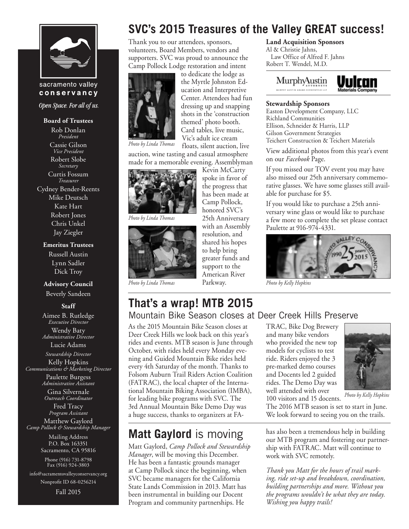

## sacramento valley conservancy

Open Space. For all of us.

#### **Board of Trustees**

Rob Donlan *President* Cassie Gilson *Vice President* Robert Slobe *Secretary* Curtis Fossum *Treasurer* Cydney Bender-Reents Mike Deutsch

Kate Hart Robert Jones Chris Unkel Jay Ziegler

#### **Emeritus Trustees**

Russell Austin Lynn Sadler Dick Troy

#### **Advisory Council**

Beverly Sandeen

**Staff**

Aimee B. Rutledge *Executive Director* Wendy Baty *Administrative Director*

Lucie Adams

*Stewardship Director* Kelly Hopkins *Communications & Marketing Director* Paulette Burgess *Administrative Assistant*

> Gina Silvernale *Outreach Coordinator*

Fred Tracy *Program Assistant* Matthew Gaylord *Camp Pollock & Stewardship Manager*

> Mailing Address P.O. Box 163351 Sacramento, CA 95816

Phone (916) 731-8798 Fax (916) 924-3803

info@sacramentovalleyconservancy.org Nonprofit ID 68-0256214

Fall 2015

# **SVC's 2015 Treasures of the Valley GREAT success!**

Thank you to our attendees, sponsors, volunteers, Board Members, vendors and supporters. SVC was proud to announce the Camp Pollock Lodge restoration and intent



to dedicate the lodge as the Myrtle Johnston Education and Interpretive Center. Attendees had fun dressing up and snapping shots in the 'construction themed' photo booth. Card tables, live music, Vic's adult ice cream floats, silent auction, live

> Kevin McCarty spoke in favor of the progress that has been made at Camp Pollock, honored SVC's 25th Anniversary with an Assembly resolution, and shared his hopes to help bring greater funds and support to the American River Parkway.

*Photo by Linda Thomas*

auction, wine tasting and casual atmosphere made for a memorable evening. Assemblyman



*Photo by Linda Thomas*



*Photo by Linda Thomas*

# **That's a wrap! MTB 2015**

Mountain Bike Season closes at Deer Creek Hills Preserve

As the 2015 Mountain Bike Season closes at Deer Creek Hills we look back on this year's rides and events. MTB season is June through October, with rides held every Monday evening and Guided Mountain Bike rides held every 4th Saturday of the month. Thanks to Folsom Auburn Trail Riders Action Coalition (FATRAC), the local chapter of the International Mountain Biking Association (IMBA), for leading bike programs with SVC. The 3rd Annual Mountain Bike Demo Day was a huge success, thanks to organizers at FA-

## **Matt Gaylord** is moving

Matt Gaylord, *Camp Pollock and Stewardship Manager*, will be moving this December. He has been a fantastic grounds manager at Camp Pollock since the beginning, when SVC became managers for the California State Lands Commission in 2013. Matt has been instrumental in building our Docent Program and community partnerships. He

## **Land Acquisition Sponsors**

Al & Christie Jahns, Law Office of Alfred F. Jahns Robert T. Wendel, M.D.



## **Stewardship Sponsors**

Easton Development Company, LLC Richland Communities Ellison, Schneider & Harris, LLP Gilson Government Strategies Teichert Construction & Teichert Materials

View additional photos from this year's event on our *Facebook* Page.

If you missed our TOV event you may have also missed our 25th anniversary commemorative glasses. We have some glasses still available for purchase for \$5.

If you would like to purchase a 25th anniversary wine glass or would like to purchase a few more to complete the set please contact Paulette at 916-974-4331.



*Photo by Kelly Hopkins*

## TRAC, Bike Dog Brewery and many bike vendors who provided the new top models for cyclists to test ride. Riders enjoyed the 3 pre-marked demo courses and Docents led 2 guided rides. The Demo Day was well attended with over

100 visitors and 15 docents.



*Photo by Kelly Hopkins*

The 2016 MTB season is set to start in June. We look forward to seeing you on the trails.

has also been a tremendous help in building our MTB program and fostering our partnership with FATRAC. Matt will continue to work with SVC remotely.

*Thank you Matt for the hours of trail marking, ride set-up and breakdown, coordination, building partnerships and more. Without you the programs wouldn't be what they are today. Wishing you happy trails!*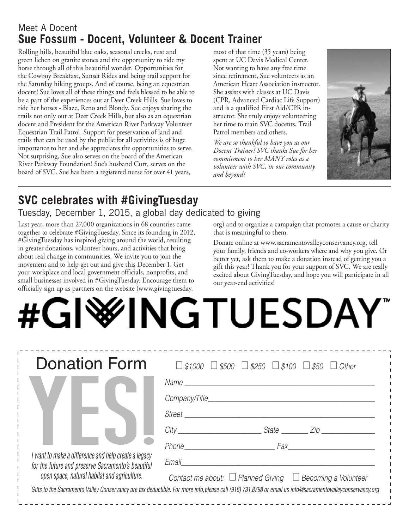## Meet A Docent **Sue Fossum - Docent, Volunteer & Docent Trainer**

Rolling hills, beautiful blue oaks, seasonal creeks, rust and green lichen on granite stones and the opportunity to ride my horse through all of this beautiful wonder. Opportunities for the Cowboy Breakfast, Sunset Rides and being trail support for the Saturday hiking groups. And of course, being an equestrian docent! Sue loves all of these things and feels blessed to be able to be a part of the experiences out at Deer Creek Hills. Sue loves to ride her horses - Blaze, Reno and Blondy. Sue enjoys sharing the trails not only out at Deer Creek Hills, but also as an equestrian docent and President for the American River Parkway Volunteer Equestrian Trail Patrol. Support for preservation of land and trails that can be used by the public for all activities is of huge importance to her and she appreciates the opportunities to serve. Not surprising, Sue also serves on the board of the American River Parkway Foundation! Sue's husband Curt, serves on the board of SVC. Sue has been a registered nurse for over 41 years,

most of that time (35 years) being spent at UC Davis Medical Center. Not wanting to have any free time since retirement, Sue volunteers as an American Heart Association instructor. She assists with classes at UC Davis (CPR, Advanced Cardiac Life Support) and is a qualified First Aid/CPR instructor. She truly enjoys volunteering her time to train SVC docents, Trail Patrol members and others.

*We are so thankful to have you as our Docent Trainer! SVC thanks Sue for her commitment to her MANY roles as a volunteer with SVC, in our community and beyond!* 



# **SVC celebrates with #GivingTuesday**

Tuesday, December 1, 2015, a global day dedicated to giving

Last year, more than 27,000 organizations in 68 countries came together to celebrate #GivingTuesday. Since its founding in 2012, #GivingTuesday has inspired giving around the world, resulting in greater donations, volunteer hours, and activities that bring about real change in communities. We invite you to join the movement and to help get out and give this December 1. Get your workplace and local government officials, nonprofits, and small businesses involved in #GivingTuesday. Encourage them to officially sign up as partners on the website (www.givingtuesday.

org) and to organize a campaign that promotes a cause or charity that is meaningful to them.

Donate online at www.sacramentovalleyconservancy.org, tell your family, friends and co-workers where and why you give. Or better yet, ask them to make a donation instead of getting you a gift this year! Thank you for your support of SVC. We are really excited about GivingTuesday, and hope you will participate in all our year-end activities!

# **WINGTUESDAY**

| <b>Donation Form</b>                                                                                                                                       | $\Box$ \$1,000 $\Box$ \$500 $\Box$ \$250 $\Box$ \$100 $\Box$ \$50 $\Box$ Other                                                                            |
|------------------------------------------------------------------------------------------------------------------------------------------------------------|-----------------------------------------------------------------------------------------------------------------------------------------------------------|
| I want to make a difference and help create a legacy<br>for the future and preserve Sacramento's beautiful<br>open space, natural habitat and agriculture. |                                                                                                                                                           |
|                                                                                                                                                            |                                                                                                                                                           |
|                                                                                                                                                            | Street                                                                                                                                                    |
|                                                                                                                                                            | City City State City                                                                                                                                      |
|                                                                                                                                                            | Phone Fax                                                                                                                                                 |
|                                                                                                                                                            | Email                                                                                                                                                     |
|                                                                                                                                                            | Contact me about: $\Box$ Planned Giving $\Box$ Becoming a Volunteer                                                                                       |
|                                                                                                                                                            | Gifts to the Sacramento Valley Conservancy are tax deductible. For more info, please call (916) 731.8798 or email us info@sacramentovalleyconservancy.org |